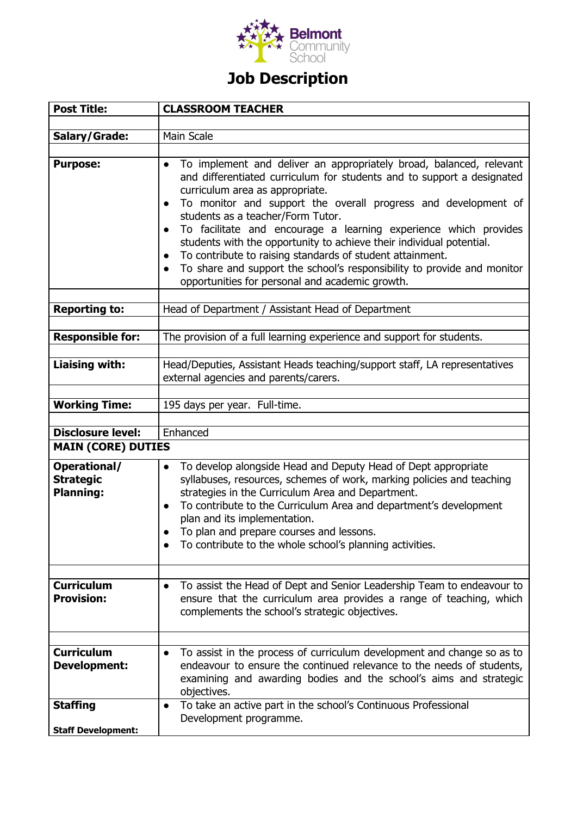

## **Job Description**

| <b>Post Title:</b>                                   | <b>CLASSROOM TEACHER</b>                                                                                                                                                                                                                                                                                                                                                                                                                                                                                                                                                                                                                                              |
|------------------------------------------------------|-----------------------------------------------------------------------------------------------------------------------------------------------------------------------------------------------------------------------------------------------------------------------------------------------------------------------------------------------------------------------------------------------------------------------------------------------------------------------------------------------------------------------------------------------------------------------------------------------------------------------------------------------------------------------|
|                                                      |                                                                                                                                                                                                                                                                                                                                                                                                                                                                                                                                                                                                                                                                       |
| Salary/Grade:                                        | Main Scale                                                                                                                                                                                                                                                                                                                                                                                                                                                                                                                                                                                                                                                            |
| <b>Purpose:</b>                                      | To implement and deliver an appropriately broad, balanced, relevant<br>$\bullet$<br>and differentiated curriculum for students and to support a designated<br>curriculum area as appropriate.<br>To monitor and support the overall progress and development of<br>$\bullet$<br>students as a teacher/Form Tutor.<br>To facilitate and encourage a learning experience which provides<br>$\bullet$<br>students with the opportunity to achieve their individual potential.<br>To contribute to raising standards of student attainment.<br>To share and support the school's responsibility to provide and monitor<br>opportunities for personal and academic growth. |
| <b>Reporting to:</b>                                 | Head of Department / Assistant Head of Department                                                                                                                                                                                                                                                                                                                                                                                                                                                                                                                                                                                                                     |
|                                                      |                                                                                                                                                                                                                                                                                                                                                                                                                                                                                                                                                                                                                                                                       |
| <b>Responsible for:</b>                              | The provision of a full learning experience and support for students.                                                                                                                                                                                                                                                                                                                                                                                                                                                                                                                                                                                                 |
|                                                      |                                                                                                                                                                                                                                                                                                                                                                                                                                                                                                                                                                                                                                                                       |
| <b>Liaising with:</b>                                | Head/Deputies, Assistant Heads teaching/support staff, LA representatives<br>external agencies and parents/carers.                                                                                                                                                                                                                                                                                                                                                                                                                                                                                                                                                    |
|                                                      |                                                                                                                                                                                                                                                                                                                                                                                                                                                                                                                                                                                                                                                                       |
| <b>Working Time:</b>                                 | 195 days per year. Full-time.                                                                                                                                                                                                                                                                                                                                                                                                                                                                                                                                                                                                                                         |
| <b>Disclosure level:</b>                             | Enhanced                                                                                                                                                                                                                                                                                                                                                                                                                                                                                                                                                                                                                                                              |
| <b>MAIN (CORE) DUTIES</b>                            |                                                                                                                                                                                                                                                                                                                                                                                                                                                                                                                                                                                                                                                                       |
|                                                      |                                                                                                                                                                                                                                                                                                                                                                                                                                                                                                                                                                                                                                                                       |
| Operational/<br><b>Strategic</b><br><b>Planning:</b> | To develop alongside Head and Deputy Head of Dept appropriate<br>$\bullet$<br>syllabuses, resources, schemes of work, marking policies and teaching<br>strategies in the Curriculum Area and Department.<br>To contribute to the Curriculum Area and department's development<br>$\bullet$<br>plan and its implementation.<br>To plan and prepare courses and lessons.<br>To contribute to the whole school's planning activities.                                                                                                                                                                                                                                    |
| <b>Curriculum</b><br><b>Provision:</b>               | To assist the Head of Dept and Senior Leadership Team to endeavour to<br>$\bullet$<br>ensure that the curriculum area provides a range of teaching, which<br>complements the school's strategic objectives.                                                                                                                                                                                                                                                                                                                                                                                                                                                           |
| <b>Curriculum</b><br><b>Development:</b>             | To assist in the process of curriculum development and change so as to<br>endeavour to ensure the continued relevance to the needs of students,<br>examining and awarding bodies and the school's aims and strategic<br>objectives.                                                                                                                                                                                                                                                                                                                                                                                                                                   |
| <b>Staffing</b>                                      | To take an active part in the school's Continuous Professional<br>$\bullet$<br>Development programme.                                                                                                                                                                                                                                                                                                                                                                                                                                                                                                                                                                 |
| <b>Staff Development:</b>                            |                                                                                                                                                                                                                                                                                                                                                                                                                                                                                                                                                                                                                                                                       |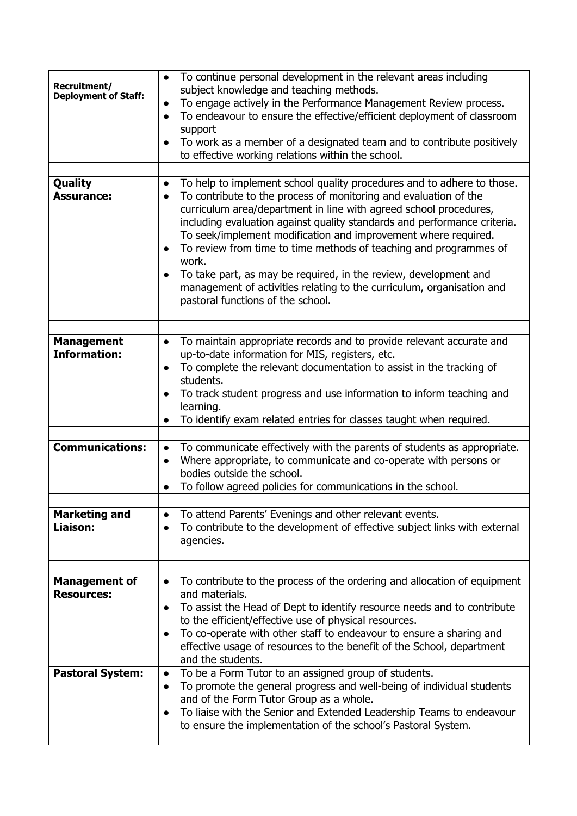| Recruitment/<br><b>Deployment of Staff:</b> | To continue personal development in the relevant areas including<br>$\bullet$<br>subject knowledge and teaching methods.<br>To engage actively in the Performance Management Review process.<br>$\bullet$<br>To endeavour to ensure the effective/efficient deployment of classroom<br>$\bullet$<br>support<br>To work as a member of a designated team and to contribute positively<br>$\bullet$<br>to effective working relations within the school.                                                                                                                                     |
|---------------------------------------------|--------------------------------------------------------------------------------------------------------------------------------------------------------------------------------------------------------------------------------------------------------------------------------------------------------------------------------------------------------------------------------------------------------------------------------------------------------------------------------------------------------------------------------------------------------------------------------------------|
| <b>Quality</b>                              | To help to implement school quality procedures and to adhere to those.<br>$\bullet$                                                                                                                                                                                                                                                                                                                                                                                                                                                                                                        |
| <b>Assurance:</b>                           | To contribute to the process of monitoring and evaluation of the<br>$\bullet$<br>curriculum area/department in line with agreed school procedures,<br>including evaluation against quality standards and performance criteria.<br>To seek/implement modification and improvement where required.<br>To review from time to time methods of teaching and programmes of<br>$\bullet$<br>work.<br>To take part, as may be required, in the review, development and<br>$\bullet$<br>management of activities relating to the curriculum, organisation and<br>pastoral functions of the school. |
| <b>Management</b>                           | To maintain appropriate records and to provide relevant accurate and<br>$\bullet$                                                                                                                                                                                                                                                                                                                                                                                                                                                                                                          |
| <b>Information:</b>                         | up-to-date information for MIS, registers, etc.<br>To complete the relevant documentation to assist in the tracking of<br>$\bullet$<br>students.<br>To track student progress and use information to inform teaching and<br>$\bullet$                                                                                                                                                                                                                                                                                                                                                      |
|                                             | learning.<br>To identify exam related entries for classes taught when required.<br>$\bullet$                                                                                                                                                                                                                                                                                                                                                                                                                                                                                               |
| <b>Communications:</b>                      | To communicate effectively with the parents of students as appropriate.<br>$\bullet$<br>Where appropriate, to communicate and co-operate with persons or<br>$\bullet$<br>bodies outside the school.<br>To follow agreed policies for communications in the school.<br>$\bullet$                                                                                                                                                                                                                                                                                                            |
| <b>Marketing and</b><br>Liaison:            | To attend Parents' Evenings and other relevant events.<br>$\bullet$<br>To contribute to the development of effective subject links with external<br>$\bullet$<br>agencies.                                                                                                                                                                                                                                                                                                                                                                                                                 |
| <b>Management of</b>                        | To contribute to the process of the ordering and allocation of equipment<br>$\bullet$                                                                                                                                                                                                                                                                                                                                                                                                                                                                                                      |
| <b>Resources:</b>                           | and materials.<br>To assist the Head of Dept to identify resource needs and to contribute<br>$\bullet$<br>to the efficient/effective use of physical resources.<br>To co-operate with other staff to endeavour to ensure a sharing and<br>$\bullet$<br>effective usage of resources to the benefit of the School, department<br>and the students.                                                                                                                                                                                                                                          |
| <b>Pastoral System:</b>                     | To be a Form Tutor to an assigned group of students.<br>$\bullet$<br>To promote the general progress and well-being of individual students<br>$\bullet$<br>and of the Form Tutor Group as a whole.<br>To liaise with the Senior and Extended Leadership Teams to endeavour<br>$\bullet$<br>to ensure the implementation of the school's Pastoral System.                                                                                                                                                                                                                                   |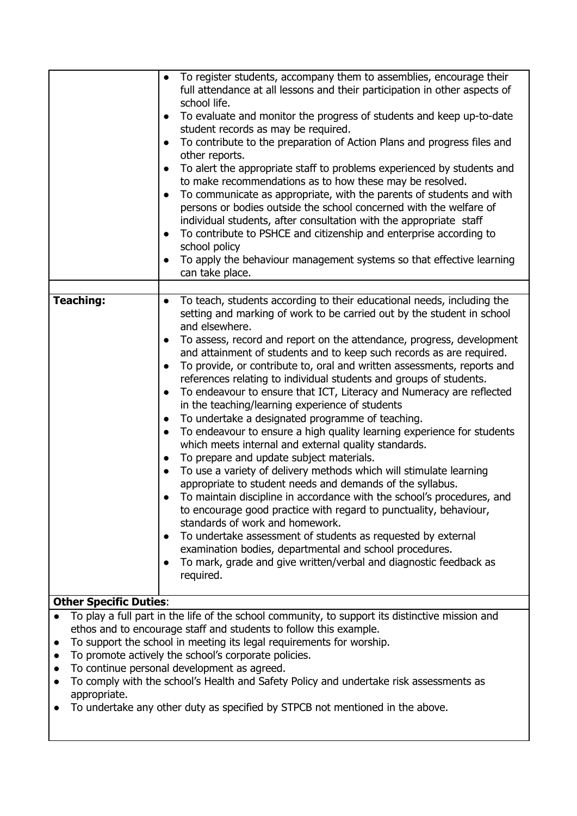|                                                                  | To register students, accompany them to assemblies, encourage their<br>full attendance at all lessons and their participation in other aspects of<br>school life.<br>To evaluate and monitor the progress of students and keep up-to-date<br>student records as may be required.<br>To contribute to the preparation of Action Plans and progress files and<br>other reports.<br>To alert the appropriate staff to problems experienced by students and<br>to make recommendations as to how these may be resolved.<br>To communicate as appropriate, with the parents of students and with<br>persons or bodies outside the school concerned with the welfare of<br>individual students, after consultation with the appropriate staff<br>To contribute to PSHCE and citizenship and enterprise according to<br>$\bullet$<br>school policy<br>To apply the behaviour management systems so that effective learning<br>can take place.                                                                                                                                                                                                                                                                                               |
|------------------------------------------------------------------|--------------------------------------------------------------------------------------------------------------------------------------------------------------------------------------------------------------------------------------------------------------------------------------------------------------------------------------------------------------------------------------------------------------------------------------------------------------------------------------------------------------------------------------------------------------------------------------------------------------------------------------------------------------------------------------------------------------------------------------------------------------------------------------------------------------------------------------------------------------------------------------------------------------------------------------------------------------------------------------------------------------------------------------------------------------------------------------------------------------------------------------------------------------------------------------------------------------------------------------|
| <b>Teaching:</b>                                                 | To teach, students according to their educational needs, including the<br>setting and marking of work to be carried out by the student in school<br>and elsewhere.                                                                                                                                                                                                                                                                                                                                                                                                                                                                                                                                                                                                                                                                                                                                                                                                                                                                                                                                                                                                                                                                   |
|                                                                  | To assess, record and report on the attendance, progress, development<br>and attainment of students and to keep such records as are required.<br>To provide, or contribute to, oral and written assessments, reports and<br>$\bullet$<br>references relating to individual students and groups of students.<br>To endeavour to ensure that ICT, Literacy and Numeracy are reflected<br>in the teaching/learning experience of students<br>To undertake a designated programme of teaching.<br>$\bullet$<br>To endeavour to ensure a high quality learning experience for students<br>$\bullet$<br>which meets internal and external quality standards.<br>To prepare and update subject materials.<br>To use a variety of delivery methods which will stimulate learning<br>appropriate to student needs and demands of the syllabus.<br>To maintain discipline in accordance with the school's procedures, and<br>to encourage good practice with regard to punctuality, behaviour,<br>standards of work and homework.<br>To undertake assessment of students as requested by external<br>examination bodies, departmental and school procedures.<br>To mark, grade and give written/verbal and diagnostic feedback as<br>required. |
| <b>Other Specific Duties:</b>                                    |                                                                                                                                                                                                                                                                                                                                                                                                                                                                                                                                                                                                                                                                                                                                                                                                                                                                                                                                                                                                                                                                                                                                                                                                                                      |
| $\bullet$<br>$\bullet$<br>$\bullet$<br>$\bullet$<br>appropriate. | To play a full part in the life of the school community, to support its distinctive mission and<br>ethos and to encourage staff and students to follow this example.<br>To support the school in meeting its legal requirements for worship.<br>To promote actively the school's corporate policies.<br>To continue personal development as agreed.<br>To comply with the school's Health and Safety Policy and undertake risk assessments as<br>ke any other duty as specified by STDCP not mentioned in the above                                                                                                                                                                                                                                                                                                                                                                                                                                                                                                                                                                                                                                                                                                                  |

To undertake any other duty as specified by STPCB not mentioned in the above.